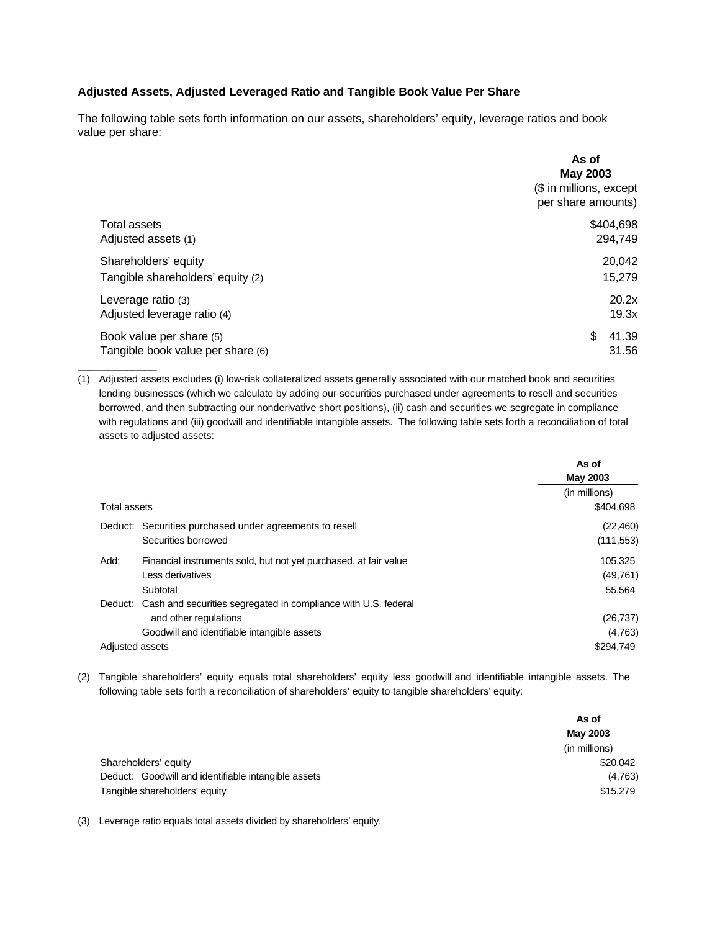## **Adjusted Assets, Adjusted Leveraged Ratio and Tangible Book Value Per Share**

The following table sets forth information on our assets, shareholders' equity, leverage ratios and book value per share:

|                                                               | As of<br><b>May 2003</b>                      |
|---------------------------------------------------------------|-----------------------------------------------|
|                                                               | (\$ in millions, except<br>per share amounts) |
| Total assets                                                  | \$404,698                                     |
| Adjusted assets (1)                                           | 294,749                                       |
| Shareholders' equity                                          | 20,042                                        |
| Tangible shareholders' equity (2)                             | 15,279                                        |
| Leverage ratio (3)                                            | 20.2x                                         |
| Adjusted leverage ratio (4)                                   | 19.3x                                         |
| Book value per share (5)<br>Tangible book value per share (6) | \$<br>41.39<br>31.56                          |

(1) Adjusted assets excludes (i) low-risk collateralized assets generally associated with our matched book and securities lending businesses (which we calculate by adding our securities purchased under agreements to resell and securities borrowed, and then subtracting our nonderivative short positions), (ii) cash and securities we segregate in compliance with regulations and (iii) goodwill and identifiable intangible assets. The following table sets forth a reconciliation of total assets to adjusted assets:

|                                                                          | As of<br><b>May 2003</b> |
|--------------------------------------------------------------------------|--------------------------|
|                                                                          |                          |
|                                                                          | (in millions)            |
| <b>Total assets</b>                                                      | \$404,698                |
| Deduct: Securities purchased under agreements to resell                  | (22, 460)                |
| Securities borrowed                                                      | (111, 553)               |
| Add:<br>Financial instruments sold, but not yet purchased, at fair value | 105,325                  |
| Less derivatives                                                         | (49, 761)                |
| Subtotal                                                                 | 55,564                   |
| Deduct: Cash and securities segregated in compliance with U.S. federal   |                          |
| and other regulations                                                    | (26, 737)                |
| Goodwill and identifiable intangible assets                              | (4,763)                  |
| Adjusted assets                                                          | \$294,749                |

(2) Tangible shareholders' equity equals total shareholders' equity less goodwill and identifiable intangible assets. The following table sets forth a reconciliation of shareholders' equity to tangible shareholders' equity:

|                                                     | As of<br>May 2003 |
|-----------------------------------------------------|-------------------|
|                                                     |                   |
|                                                     | (in millions)     |
| Shareholders' equity                                | \$20,042          |
| Deduct: Goodwill and identifiable intangible assets | (4,763)           |
| Tangible shareholders' equity                       | \$15,279          |

(3) Leverage ratio equals total assets divided by shareholders' equity.

\_\_\_\_\_\_\_\_\_\_\_\_\_